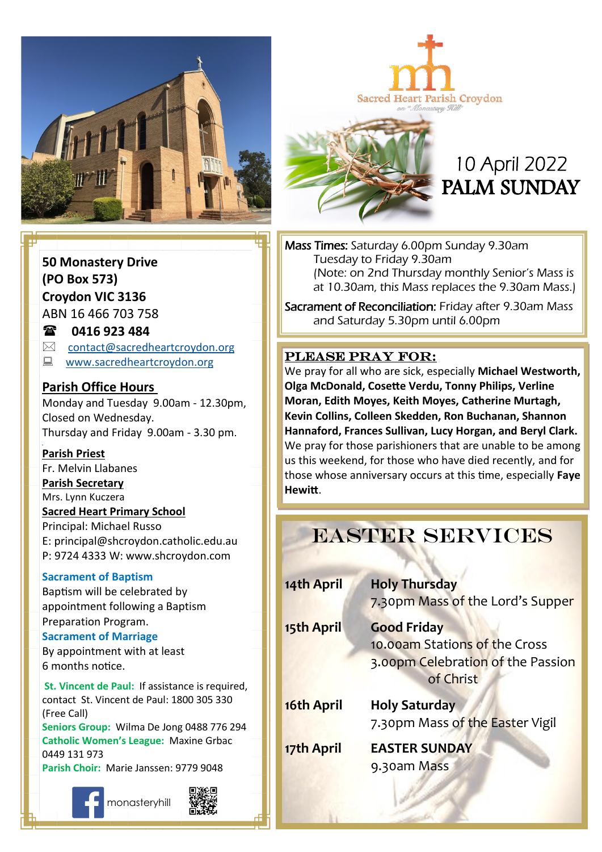

Sacred Heart Parish Croydon

# 10 April 2022 PALM SUNDAY

Mass Times: Saturday 6.00pm Sunday 9.30am Tuesday to Friday 9.30am (Note: on 2nd Thursday monthly Senior's Mass is at 10.30am, this Mass replaces the 9.30am Mass.)

Sacrament of Reconciliation: Friday after 9.30am Mass and Saturday 5.30pm until 6.00pm

### PLEASE PRAY FOR:

**Come, follow me. Moran, Edith Moyes, Keith Moyes, Catherine Murtagh,**  We pray for all who are sick, especially **Michael Westworth, Olga McDonald, Cosette Verdu, Tonny Philips, Verline Kevin Collins, Colleen Skedden, Ron Buchanan, Shannon Hannaford, Frances Sullivan, Lucy Horgan, and Beryl Clark.** We pray for those parishioners that are unable to be among us this weekend, for those who have died recently, and for those whose anniversary occurs at this time, especially **Faye Hewitt**.

## EASTER SERVICES

| 14th April | <b>Holy Thursday</b><br>7.30pm Mass of the Lord's Supper                                              |
|------------|-------------------------------------------------------------------------------------------------------|
| 15th April | <b>Good Friday</b><br>10.00am Stations of the Cross<br>3.00pm Celebration of the Passion<br>of Christ |
| 16th April | <b>Holy Saturday</b><br>7.30pm Mass of the Easter Vigil                                               |
| 17th April | <b>EASTER SUNDAY</b><br>9.30am Mass                                                                   |

**50 Monastery Drive (PO Box 573) Croydon VIC 3136** ABN 16 466 703 758

**0416 923 484**

 $\boxtimes$  [contact@sacredheartcroydon.org](mailto:contact@sacredheartcroydon.org)

**E** [www.sacredheartcroydon.org](http://www.sacredheartcroydon.org/)

### **Parish Office Hours**

Monday and Tuesday 9.00am - 12.30pm, Closed on Wednesday. Thursday and Friday 9.00am - 3.30 pm.

#### **Parish Priest**

Fr. Melvin Llabanes

#### **Parish Secretary**

Mrs. Lynn Kuczera

#### **Sacred Heart Primary School**

Principal: Michael Russo E: principal@shcroydon.catholic.edu.au P: 9724 4333 W: www.shcroydon.com

#### **Sacrament of Baptism**

Baptism will be celebrated by appointment following a Baptism Preparation Program.

#### **Sacrament of Marriage**

By appointment with at least 6 months notice.

**St. Vincent de Paul: If assistance is required.** contact St. Vincent de Paul: 1800 305 330 (Free Call)

**Seniors Group:** Wilma De Jong 0488 776 294 **Catholic Women's League:** Maxine Grbac 0449 131 973 **Parish Choir:** Marie Janssen: 9779 9048